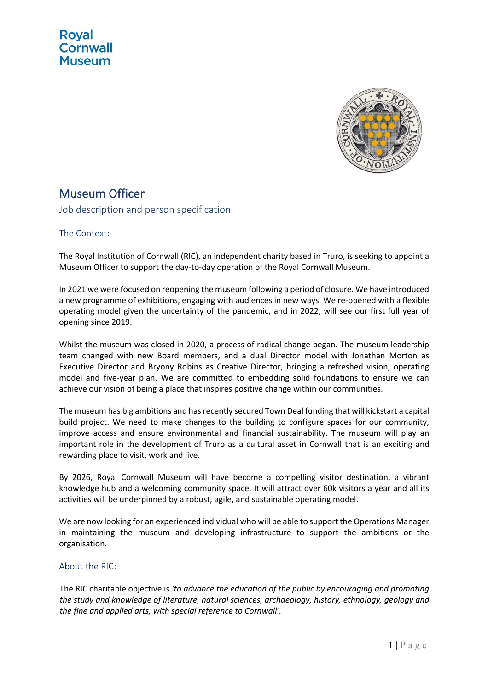

# Museum Officer

Job description and person specification

The Context:

The Royal Institution of Cornwall (RIC), an independent charity based in Truro, is seeking to appoint a Museum Officer to support the day-to-day operation of the Royal Cornwall Museum.

In 2021 we were focused on reopening the museum following a period of closure. We have introduced a new programme of exhibitions, engaging with audiences in new ways. We re-opened with a flexible operating model given the uncertainty of the pandemic, and in 2022, will see our first full year of opening since 2019.

Whilst the museum was closed in 2020, a process of radical change began. The museum leadership team changed with new Board members, and a dual Director model with Jonathan Morton as Executive Director and Bryony Robins as Creative Director, bringing a refreshed vision, operating model and five-year plan. We are committed to embedding solid foundations to ensure we can achieve our vision of being a place that inspires positive change within our communities.

The museum has big ambitions and has recently secured Town Deal funding that will kickstart a capital build project. We need to make changes to the building to configure spaces for our community, improve access and ensure environmental and financial sustainability. The museum will play an important role in the development of Truro as a cultural asset in Cornwall that is an exciting and rewarding place to visit, work and live.

By 2026, Royal Cornwall Museum will have become a compelling visitor destination, a vibrant knowledge hub and a welcoming community space. It will attract over 60k visitors a year and all its activities will be underpinned by a robust, agile, and sustainable operating model.

We are now looking for an experienced individual who will be able to support the Operations Manager in maintaining the museum and developing infrastructure to support the ambitions or the organisation.

#### About the RIC:

The RIC charitable objective is *'to advance the education of the public by encouraging and promoting the study and knowledge of literature, natural sciences, archaeology, history, ethnology, geology and the fine and applied arts, with special reference to Cornwall'.*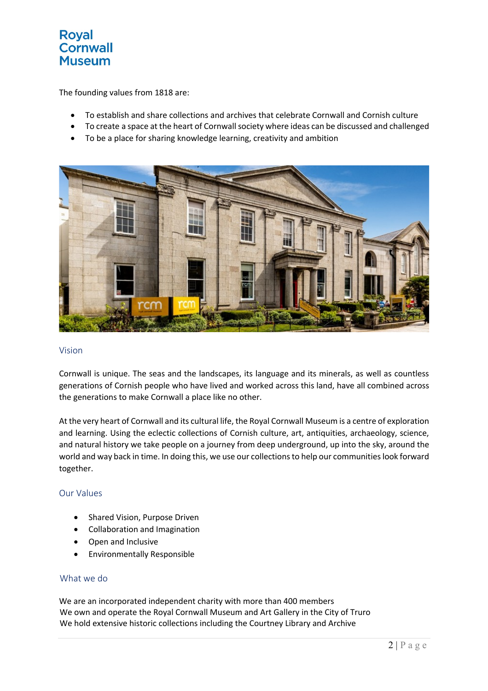## **Royal Cornwall Museum**

The founding values from 1818 are:

- To establish and share collections and archives that celebrate Cornwall and Cornish culture
- To create a space at the heart of Cornwall society where ideas can be discussed and challenged
- To be a place for sharing knowledge learning, creativity and ambition



#### Vision

Cornwall is unique. The seas and the landscapes, its language and its minerals, as well as countless generations of Cornish people who have lived and worked across this land, have all combined across the generations to make Cornwall a place like no other.

At the very heart of Cornwall and its cultural life, the Royal Cornwall Museum is a centre of exploration and learning. Using the eclectic collections of Cornish culture, art, antiquities, archaeology, science, and natural history we take people on a journey from deep underground, up into the sky, around the world and way back in time. In doing this, we use our collections to help our communities look forward together.

#### Our Values

- Shared Vision, Purpose Driven
- Collaboration and Imagination
- Open and Inclusive
- Environmentally Responsible

#### What we do

We are an incorporated independent charity with more than 400 members We own and operate the Royal Cornwall Museum and Art Gallery in the City of Truro We hold extensive historic collections including the Courtney Library and Archive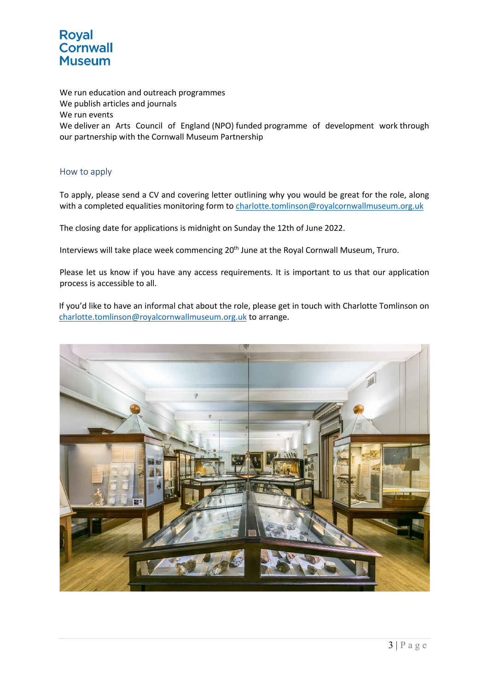

We run education and outreach programmes We publish articles and journals We run events We deliver an Arts Council of England (NPO) funded programme of development work through our partnership with the Cornwall Museum Partnership

### How to apply

To apply, please send a CV and covering letter outlining why you would be great for the role, along with a completed equalities monitoring form to charlotte.tomlinson@royalcornwallmuseum.org.uk

The closing date for applications is midnight on Sunday the 12th of June 2022.

Interviews will take place week commencing 20<sup>th</sup> June at the Royal Cornwall Museum, Truro.

Please let us know if you have any access requirements. It is important to us that our application process is accessible to all.

If you'd like to have an informal chat about the role, please get in touch with Charlotte Tomlinson on charlotte.tomlinson@royalcornwallmuseum.org.uk to arrange.

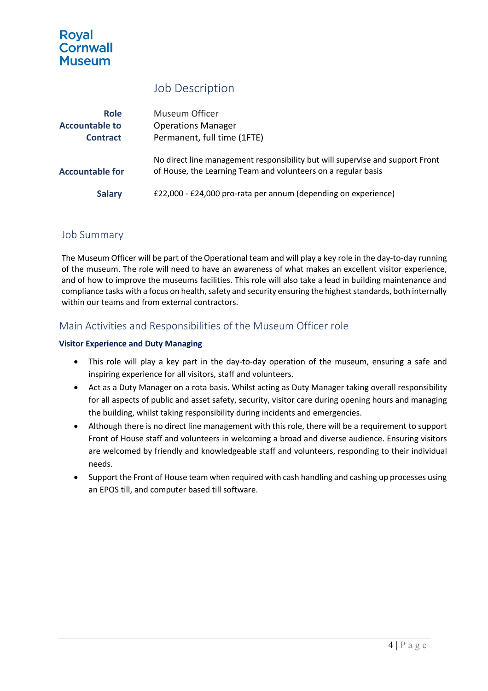# **Roval Cornwall Museum**

# Job Description

| <b>Role</b>            | Museum Officer                                                                                                                                 |
|------------------------|------------------------------------------------------------------------------------------------------------------------------------------------|
| <b>Accountable to</b>  | <b>Operations Manager</b>                                                                                                                      |
| <b>Contract</b>        | Permanent, full time (1FTE)                                                                                                                    |
| <b>Accountable for</b> | No direct line management responsibility but will supervise and support Front<br>of House, the Learning Team and volunteers on a regular basis |
| <b>Salary</b>          | £22,000 - £24,000 pro-rata per annum (depending on experience)                                                                                 |

### Job Summary

The Museum Officer will be part of the Operational team and will play a key role in the day-to-day running of the museum. The role will need to have an awareness of what makes an excellent visitor experience, and of how to improve the museums facilities. This role will also take a lead in building maintenance and compliance tasks with a focus on health, safety and security ensuring the highest standards, both internally within our teams and from external contractors.

### Main Activities and Responsibilities of the Museum Officer role

### **Visitor Experience and Duty Managing**

- This role will play a key part in the day-to-day operation of the museum, ensuring a safe and inspiring experience for all visitors, staff and volunteers.
- Act as a Duty Manager on a rota basis. Whilst acting as Duty Manager taking overall responsibility for all aspects of public and asset safety, security, visitor care during opening hours and managing the building, whilst taking responsibility during incidents and emergencies.
- Although there is no direct line management with this role, there will be a requirement to support Front of House staff and volunteers in welcoming a broad and diverse audience. Ensuring visitors are welcomed by friendly and knowledgeable staff and volunteers, responding to their individual needs.
- Support the Front of House team when required with cash handling and cashing up processes using an EPOS till, and computer based till software.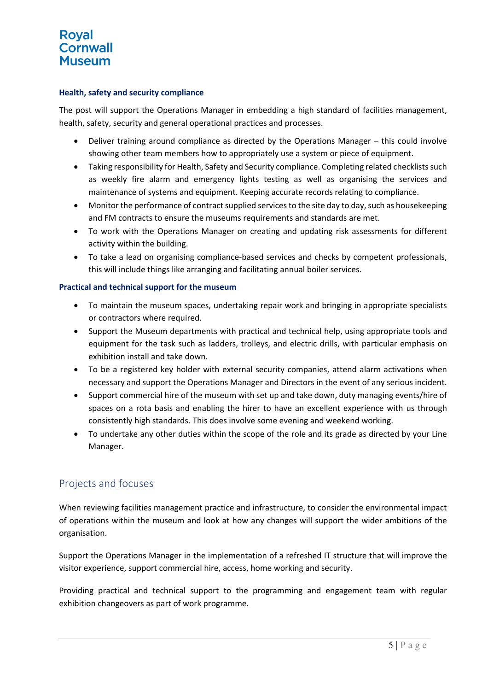# **Roval Cornwall Museum**

### **Health, safety and security compliance**

The post will support the Operations Manager in embedding a high standard of facilities management, health, safety, security and general operational practices and processes.

- Deliver training around compliance as directed by the Operations Manager this could involve showing other team members how to appropriately use a system or piece of equipment.
- Taking responsibility for Health, Safety and Security compliance. Completing related checklists such as weekly fire alarm and emergency lights testing as well as organising the services and maintenance of systems and equipment. Keeping accurate records relating to compliance.
- Monitor the performance of contract supplied services to the site day to day, such as housekeeping and FM contracts to ensure the museums requirements and standards are met.
- To work with the Operations Manager on creating and updating risk assessments for different activity within the building.
- To take a lead on organising compliance-based services and checks by competent professionals, this will include things like arranging and facilitating annual boiler services.

#### **Practical and technical support for the museum**

- To maintain the museum spaces, undertaking repair work and bringing in appropriate specialists or contractors where required.
- Support the Museum departments with practical and technical help, using appropriate tools and equipment for the task such as ladders, trolleys, and electric drills, with particular emphasis on exhibition install and take down.
- To be a registered key holder with external security companies, attend alarm activations when necessary and support the Operations Manager and Directors in the event of any serious incident.
- Support commercial hire of the museum with set up and take down, duty managing events/hire of spaces on a rota basis and enabling the hirer to have an excellent experience with us through consistently high standards. This does involve some evening and weekend working.
- To undertake any other duties within the scope of the role and its grade as directed by your Line Manager.

### Projects and focuses

When reviewing facilities management practice and infrastructure, to consider the environmental impact of operations within the museum and look at how any changes will support the wider ambitions of the organisation.

Support the Operations Manager in the implementation of a refreshed IT structure that will improve the visitor experience, support commercial hire, access, home working and security.

Providing practical and technical support to the programming and engagement team with regular exhibition changeovers as part of work programme.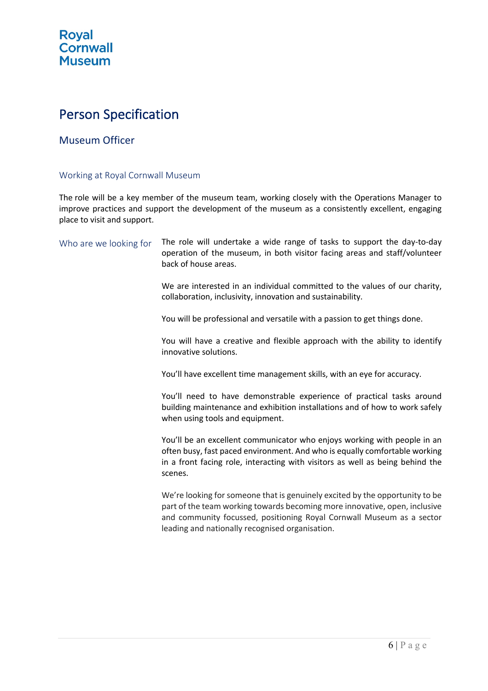# Person Specification

### Museum Officer

### Working at Royal Cornwall Museum

The role will be a key member of the museum team, working closely with the Operations Manager to improve practices and support the development of the museum as a consistently excellent, engaging place to visit and support.

| Who are we looking for | The role will undertake a wide range of tasks to support the day-to-day<br>operation of the museum, in both visitor facing areas and staff/volunteer<br>back of house areas.                                                                                                           |
|------------------------|----------------------------------------------------------------------------------------------------------------------------------------------------------------------------------------------------------------------------------------------------------------------------------------|
|                        | We are interested in an individual committed to the values of our charity,<br>collaboration, inclusivity, innovation and sustainability.                                                                                                                                               |
|                        | You will be professional and versatile with a passion to get things done.                                                                                                                                                                                                              |
|                        | You will have a creative and flexible approach with the ability to identify<br>innovative solutions.                                                                                                                                                                                   |
|                        | You'll have excellent time management skills, with an eye for accuracy.                                                                                                                                                                                                                |
|                        | You'll need to have demonstrable experience of practical tasks around<br>building maintenance and exhibition installations and of how to work safely<br>when using tools and equipment.                                                                                                |
|                        | You'll be an excellent communicator who enjoys working with people in an<br>often busy, fast paced environment. And who is equally comfortable working<br>in a front facing role, interacting with visitors as well as being behind the<br>scenes.                                     |
|                        | We're looking for someone that is genuinely excited by the opportunity to be<br>part of the team working towards becoming more innovative, open, inclusive<br>and community focussed, positioning Royal Cornwall Museum as a sector<br>leading and nationally recognised organisation. |